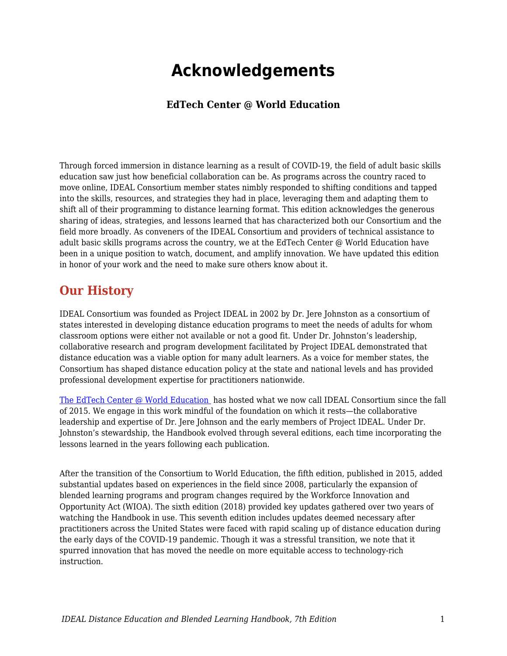## **Acknowledgements**

## **EdTech Center @ World Education**

Through forced immersion in distance learning as a result of COVID-19, the field of adult basic skills education saw just how beneficial collaboration can be. As programs across the country raced to move online, IDEAL Consortium member states nimbly responded to shifting conditions and tapped into the skills, resources, and strategies they had in place, leveraging them and adapting them to shift all of their programming to distance learning format. This edition acknowledges the generous sharing of ideas, strategies, and lessons learned that has characterized both our Consortium and the field more broadly. As conveners of the IDEAL Consortium and providers of technical assistance to adult basic skills programs across the country, we at the EdTech Center @ World Education have been in a unique position to watch, document, and amplify innovation. We have updated this edition in honor of your work and the need to make sure others know about it.

## **Our History**

IDEAL Consortium was founded as Project IDEAL in 2002 by Dr. Jere Johnston as a consortium of states interested in developing distance education programs to meet the needs of adults for whom classroom options were either not available or not a good fit. Under Dr. Johnston's leadership, collaborative research and program development facilitated by Project IDEAL demonstrated that distance education was a viable option for many adult learners. As a voice for member states, the Consortium has shaped distance education policy at the state and national levels and has provided professional development expertise for practitioners nationwide.

[The EdTech Center @ World Education](https://edtech.worlded.org/) has hosted what we now call IDEAL Consortium since the fall of 2015. We engage in this work mindful of the foundation on which it rests—the collaborative leadership and expertise of Dr. Jere Johnson and the early members of Project IDEAL. Under Dr. Johnston's stewardship, the Handbook evolved through several editions, each time incorporating the lessons learned in the years following each publication.

After the transition of the Consortium to World Education, the fifth edition, published in 2015, added substantial updates based on experiences in the field since 2008, particularly the expansion of blended learning programs and program changes required by the Workforce Innovation and Opportunity Act (WIOA). The sixth edition (2018) provided key updates gathered over two years of watching the Handbook in use. This seventh edition includes updates deemed necessary after practitioners across the United States were faced with rapid scaling up of distance education during the early days of the COVID-19 pandemic. Though it was a stressful transition, we note that it spurred innovation that has moved the needle on more equitable access to technology-rich instruction.